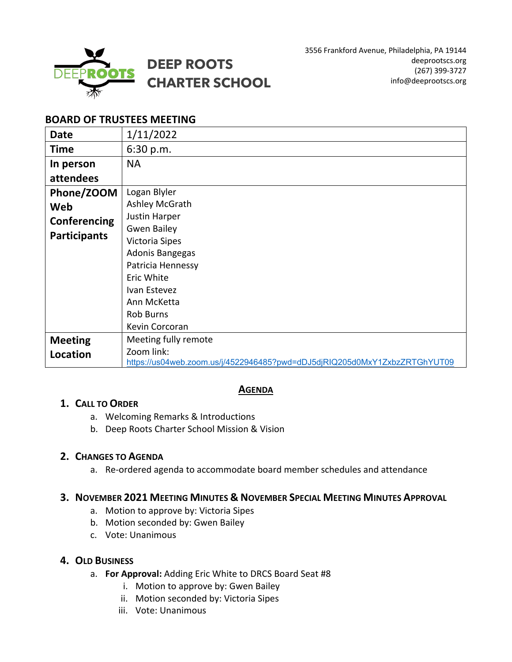

# **BOARD OF TRUSTEES MEETING**

| <b>Date</b>         | 1/11/2022                                                                 |
|---------------------|---------------------------------------------------------------------------|
| <b>Time</b>         | 6:30 p.m.                                                                 |
| In person           | <b>NA</b>                                                                 |
| attendees           |                                                                           |
| Phone/ZOOM          | Logan Blyler                                                              |
| Web                 | Ashley McGrath                                                            |
| Conferencing        | Justin Harper                                                             |
| <b>Participants</b> | <b>Gwen Bailey</b>                                                        |
|                     | Victoria Sipes                                                            |
|                     | Adonis Bangegas                                                           |
|                     | Patricia Hennessy                                                         |
|                     | Eric White                                                                |
|                     | Ivan Estevez                                                              |
|                     | Ann McKetta                                                               |
|                     | <b>Rob Burns</b>                                                          |
|                     | Kevin Corcoran                                                            |
| <b>Meeting</b>      | Meeting fully remote                                                      |
| Location            | Zoom link:                                                                |
|                     | https://us04web.zoom.us/j/4522946485?pwd=dDJ5djRIQ205d0MxY1ZxbzZRTGhYUT09 |

# **AGENDA**

#### **1. CALL TO ORDER**

- a. Welcoming Remarks & Introductions
- b. Deep Roots Charter School Mission & Vision

### **2. CHANGES TO AGENDA**

a. Re-ordered agenda to accommodate board member schedules and attendance

#### **3. NOVEMBER 2021 MEETING MINUTES & NOVEMBER SPECIAL MEETING MINUTES APPROVAL**

- a. Motion to approve by: Victoria Sipes
- b. Motion seconded by: Gwen Bailey
- c. Vote: Unanimous

## **4. OLD BUSINESS**

- a. **For Approval:** Adding Eric White to DRCS Board Seat #8
	- i. Motion to approve by: Gwen Bailey
	- ii. Motion seconded by: Victoria Sipes
	- iii. Vote: Unanimous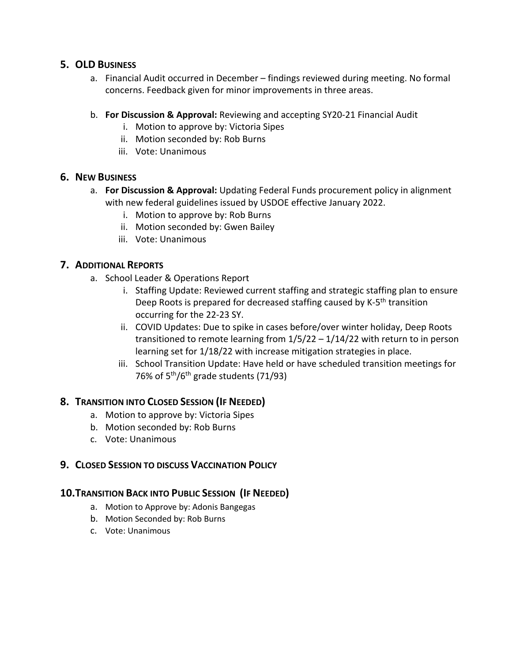### **5. OLD BUSINESS**

- a. Financial Audit occurred in December findings reviewed during meeting. No formal concerns. Feedback given for minor improvements in three areas.
- b. **For Discussion & Approval:** Reviewing and accepting SY20-21 Financial Audit
	- i. Motion to approve by: Victoria Sipes
	- ii. Motion seconded by: Rob Burns
	- iii. Vote: Unanimous

## **6. NEW BUSINESS**

- a. **For Discussion & Approval:** Updating Federal Funds procurement policy in alignment with new federal guidelines issued by USDOE effective January 2022.
	- i. Motion to approve by: Rob Burns
	- ii. Motion seconded by: Gwen Bailey
	- iii. Vote: Unanimous

## **7. ADDITIONAL REPORTS**

- a. School Leader & Operations Report
	- i. Staffing Update: Reviewed current staffing and strategic staffing plan to ensure Deep Roots is prepared for decreased staffing caused by K-5<sup>th</sup> transition occurring for the 22-23 SY.
	- ii. COVID Updates: Due to spike in cases before/over winter holiday, Deep Roots transitioned to remote learning from 1/5/22 – 1/14/22 with return to in person learning set for 1/18/22 with increase mitigation strategies in place.
	- iii. School Transition Update: Have held or have scheduled transition meetings for 76% of  $5<sup>th</sup>/6<sup>th</sup>$  grade students (71/93)

# **8. TRANSITION INTO CLOSED SESSION (IF NEEDED)**

- a. Motion to approve by: Victoria Sipes
- b. Motion seconded by: Rob Burns
- c. Vote: Unanimous

# **9. CLOSED SESSION TO DISCUSS VACCINATION POLICY**

# **10.TRANSITION BACK INTO PUBLIC SESSION (IF NEEDED)**

- a. Motion to Approve by: Adonis Bangegas
- b. Motion Seconded by: Rob Burns
- c. Vote: Unanimous